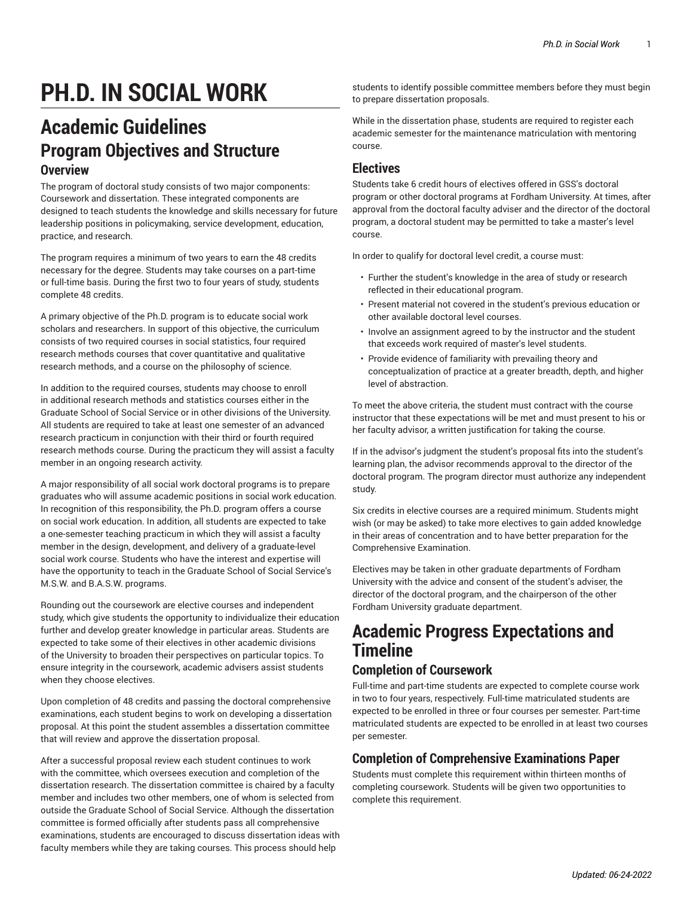# **PH.D. IN SOCIAL WORK**

# **Academic Guidelines Program Objectives and Structure Overview**

The program of doctoral study consists of two major components: Coursework and dissertation. These integrated components are designed to teach students the knowledge and skills necessary for future leadership positions in policymaking, service development, education, practice, and research.

The program requires a minimum of two years to earn the 48 credits necessary for the degree. Students may take courses on a part-time or full-time basis. During the first two to four years of study, students complete 48 credits.

A primary objective of the Ph.D. program is to educate social work scholars and researchers. In support of this objective, the curriculum consists of two required courses in social statistics, four required research methods courses that cover quantitative and qualitative research methods, and a course on the philosophy of science.

In addition to the required courses, students may choose to enroll in additional research methods and statistics courses either in the Graduate School of Social Service or in other divisions of the University. All students are required to take at least one semester of an advanced research practicum in conjunction with their third or fourth required research methods course. During the practicum they will assist a faculty member in an ongoing research activity.

A major responsibility of all social work doctoral programs is to prepare graduates who will assume academic positions in social work education. In recognition of this responsibility, the Ph.D. program offers a course on social work education. In addition, all students are expected to take a one-semester teaching practicum in which they will assist a faculty member in the design, development, and delivery of a graduate-level social work course. Students who have the interest and expertise will have the opportunity to teach in the Graduate School of Social Service's M.S.W. and B.A.S.W. programs.

Rounding out the coursework are elective courses and independent study, which give students the opportunity to individualize their education further and develop greater knowledge in particular areas. Students are expected to take some of their electives in other academic divisions of the University to broaden their perspectives on particular topics. To ensure integrity in the coursework, academic advisers assist students when they choose electives.

Upon completion of 48 credits and passing the doctoral comprehensive examinations, each student begins to work on developing a dissertation proposal. At this point the student assembles a dissertation committee that will review and approve the dissertation proposal.

After a successful proposal review each student continues to work with the committee, which oversees execution and completion of the dissertation research. The dissertation committee is chaired by a faculty member and includes two other members, one of whom is selected from outside the Graduate School of Social Service. Although the dissertation committee is formed officially after students pass all comprehensive examinations, students are encouraged to discuss dissertation ideas with faculty members while they are taking courses. This process should help

students to identify possible committee members before they must begin to prepare dissertation proposals.

While in the dissertation phase, students are required to register each academic semester for the maintenance matriculation with mentoring course.

#### **Electives**

Students take 6 credit hours of electives offered in GSS's doctoral program or other doctoral programs at Fordham University. At times, after approval from the doctoral faculty adviser and the director of the doctoral program, a doctoral student may be permitted to take a master's level course.

In order to qualify for doctoral level credit, a course must:

- Further the student's knowledge in the area of study or research reflected in their educational program.
- Present material not covered in the student's previous education or other available doctoral level courses.
- Involve an assignment agreed to by the instructor and the student that exceeds work required of master's level students.
- Provide evidence of familiarity with prevailing theory and conceptualization of practice at a greater breadth, depth, and higher level of abstraction.

To meet the above criteria, the student must contract with the course instructor that these expectations will be met and must present to his or her faculty advisor, a written justification for taking the course.

If in the advisor's judgment the student's proposal fits into the student's learning plan, the advisor recommends approval to the director of the doctoral program. The program director must authorize any independent study.

Six credits in elective courses are a required minimum. Students might wish (or may be asked) to take more electives to gain added knowledge in their areas of concentration and to have better preparation for the Comprehensive Examination.

Electives may be taken in other graduate departments of Fordham University with the advice and consent of the student's adviser, the director of the doctoral program, and the chairperson of the other Fordham University graduate department.

# **Academic Progress Expectations and Timeline**

### **Completion of Coursework**

Full-time and part-time students are expected to complete course work in two to four years, respectively. Full-time matriculated students are expected to be enrolled in three or four courses per semester. Part-time matriculated students are expected to be enrolled in at least two courses per semester.

## **Completion of Comprehensive Examinations Paper**

Students must complete this requirement within thirteen months of completing coursework. Students will be given two opportunities to complete this requirement.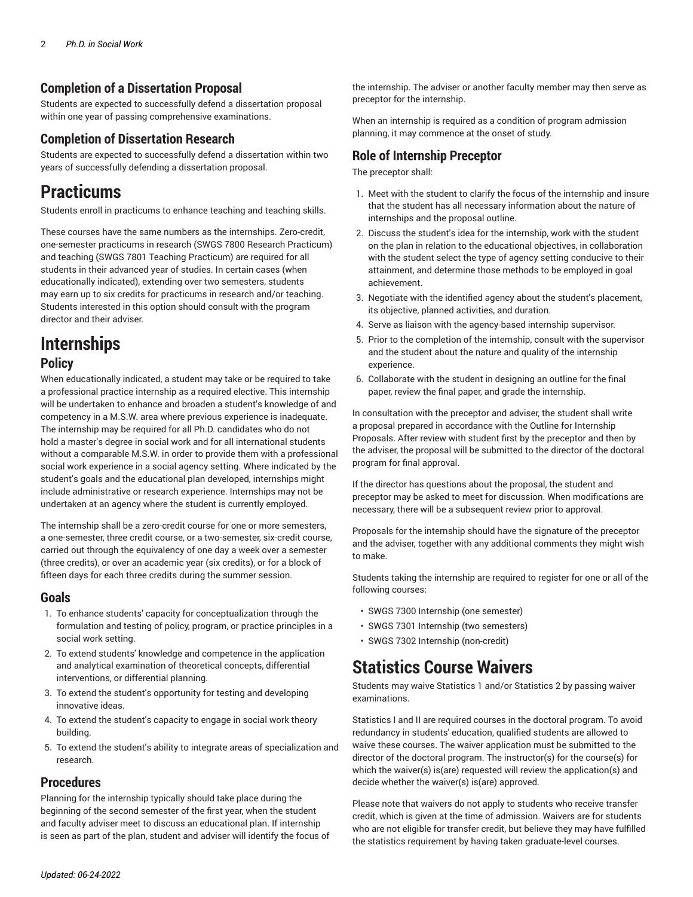### **Completion of a Dissertation Proposal**

Students are expected to successfully defend a dissertation proposal within one year of passing comprehensive examinations.

#### **Completion of Dissertation Research**

Students are expected to successfully defend a dissertation within two years of successfully defending a dissertation proposal.

# **Practicums**

Students enroll in practicums to enhance teaching and teaching skills.

These courses have the same numbers as the internships. Zero-credit, one-semester practicums in research (SWGS 7800 Research Practicum) and teaching (SWGS 7801 Teaching Practicum) are required for all students in their advanced year of studies. In certain cases (when educationally indicated), extending over two semesters, students may earn up to six credits for practicums in research and/or teaching. Students interested in this option should consult with the program director and their adviser.

# **Internships**

### **Policy**

When educationally indicated, a student may take or be required to take a professional practice internship as a required elective. This internship will be undertaken to enhance and broaden a student's knowledge of and competency in a M.S.W. area where previous experience is inadequate. The internship may be required for all Ph.D. candidates who do not hold a master's degree in social work and for all international students without a comparable M.S.W. in order to provide them with a professional social work experience in a social agency setting. Where indicated by the student's goals and the educational plan developed, internships might include administrative or research experience. Internships may not be undertaken at an agency where the student is currently employed.

The internship shall be a zero-credit course for one or more semesters, a one-semester, three credit course, or a two-semester, six-credit course, carried out through the equivalency of one day a week over a semester (three credits), or over an academic year (six credits), or for a block of fifteen days for each three credits during the summer session.

#### **Goals**

- 1. To enhance students' capacity for conceptualization through the formulation and testing of policy, program, or practice principles in a social work setting.
- 2. To extend students' knowledge and competence in the application and analytical examination of theoretical concepts, differential interventions, or differential planning.
- 3. To extend the student's opportunity for testing and developing innovative ideas.
- 4. To extend the student's capacity to engage in social work theory building.
- 5. To extend the student's ability to integrate areas of specialization and research.

### **Procedures**

Planning for the internship typically should take place during the beginning of the second semester of the first year, when the student and faculty adviser meet to discuss an educational plan. If internship is seen as part of the plan, student and adviser will identify the focus of

the internship. The adviser or another faculty member may then serve as preceptor for the internship.

When an internship is required as a condition of program admission planning, it may commence at the onset of study.

#### **Role of Internship Preceptor**

The preceptor shall:

- 1. Meet with the student to clarify the focus of the internship and insure that the student has all necessary information about the nature of internships and the proposal outline.
- 2. Discuss the student's idea for the internship, work with the student on the plan in relation to the educational objectives, in collaboration with the student select the type of agency setting conducive to their attainment, and determine those methods to be employed in goal achievement.
- 3. Negotiate with the identified agency about the student's placement, its objective, planned activities, and duration.
- 4. Serve as liaison with the agency-based internship supervisor.
- 5. Prior to the completion of the internship, consult with the supervisor and the student about the nature and quality of the internship experience.
- 6. Collaborate with the student in designing an outline for the final paper, review the final paper, and grade the internship.

In consultation with the preceptor and adviser, the student shall write a proposal prepared in accordance with the Outline for Internship Proposals. After review with student first by the preceptor and then by the adviser, the proposal will be submitted to the director of the doctoral program for final approval.

If the director has questions about the proposal, the student and preceptor may be asked to meet for discussion. When modifications are necessary, there will be a subsequent review prior to approval.

Proposals for the internship should have the signature of the preceptor and the adviser, together with any additional comments they might wish to make.

Students taking the internship are required to register for one or all of the following courses:

- SWGS 7300 Internship (one semester)
- SWGS 7301 Internship (two semesters)
- SWGS 7302 Internship (non-credit)

# **Statistics Course Waivers**

Students may waive Statistics 1 and/or Statistics 2 by passing waiver examinations.

Statistics I and II are required courses in the doctoral program. To avoid redundancy in students' education, qualified students are allowed to waive these courses. The waiver application must be submitted to the director of the doctoral program. The instructor(s) for the course(s) for which the waiver(s) is(are) requested will review the application(s) and decide whether the waiver(s) is(are) approved.

Please note that waivers do not apply to students who receive transfer credit, which is given at the time of admission. Waivers are for students who are not eligible for transfer credit, but believe they may have fulfilled the statistics requirement by having taken graduate-level courses.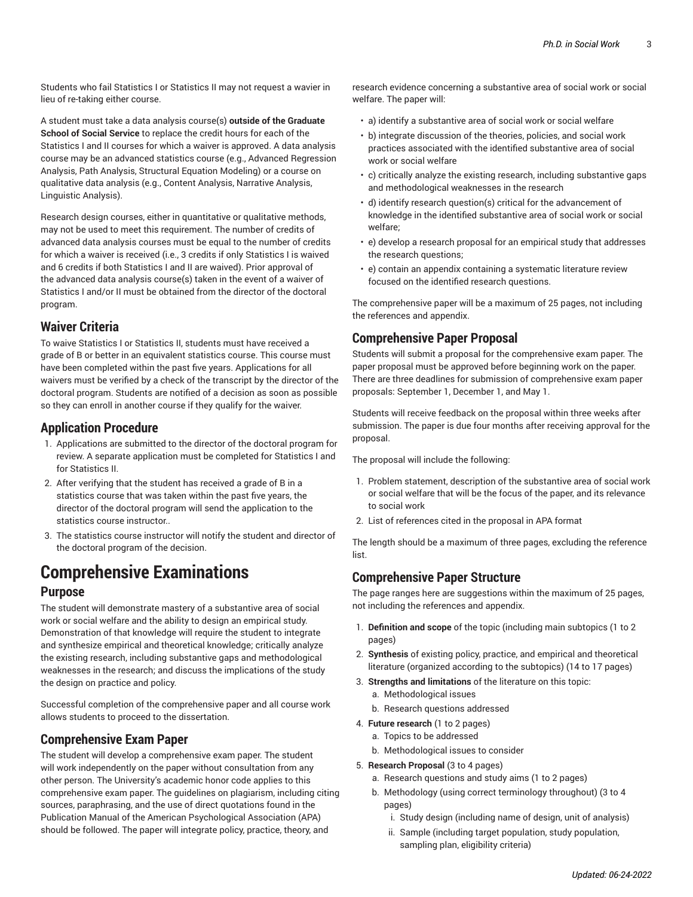Students who fail Statistics I or Statistics II may not request a wavier in lieu of re-taking either course.

A student must take a data analysis course(s) **outside of the Graduate School of Social Service** to replace the credit hours for each of the Statistics I and II courses for which a waiver is approved. A data analysis course may be an advanced statistics course (e.g., Advanced Regression Analysis, Path Analysis, Structural Equation Modeling) or a course on qualitative data analysis (e.g., Content Analysis, Narrative Analysis, Linguistic Analysis).

Research design courses, either in quantitative or qualitative methods, may not be used to meet this requirement. The number of credits of advanced data analysis courses must be equal to the number of credits for which a waiver is received (i.e., 3 credits if only Statistics I is waived and 6 credits if both Statistics I and II are waived). Prior approval of the advanced data analysis course(s) taken in the event of a waiver of Statistics I and/or II must be obtained from the director of the doctoral program.

## **Waiver Criteria**

To waive Statistics I or Statistics II, students must have received a grade of B or better in an equivalent statistics course. This course must have been completed within the past five years. Applications for all waivers must be verified by a check of the transcript by the director of the doctoral program. Students are notified of a decision as soon as possible so they can enroll in another course if they qualify for the waiver.

### **Application Procedure**

- 1. Applications are submitted to the director of the doctoral program for review. A separate application must be completed for Statistics I and for Statistics II.
- 2. After verifying that the student has received a grade of B in a statistics course that was taken within the past five years, the director of the doctoral program will send the application to the statistics course instructor..
- 3. The statistics course instructor will notify the student and director of the doctoral program of the decision.

# **Comprehensive Examinations**

#### **Purpose**

The student will demonstrate mastery of a substantive area of social work or social welfare and the ability to design an empirical study. Demonstration of that knowledge will require the student to integrate and synthesize empirical and theoretical knowledge; critically analyze the existing research, including substantive gaps and methodological weaknesses in the research; and discuss the implications of the study the design on practice and policy.

Successful completion of the comprehensive paper and all course work allows students to proceed to the dissertation.

### **Comprehensive Exam Paper**

The student will develop a comprehensive exam paper. The student will work independently on the paper without consultation from any other person. The University's academic honor code applies to this comprehensive exam paper. The guidelines on plagiarism, including citing sources, paraphrasing, and the use of direct quotations found in the Publication Manual of the American Psychological Association (APA) should be followed. The paper will integrate policy, practice, theory, and

research evidence concerning a substantive area of social work or social welfare. The paper will:

- a) identify a substantive area of social work or social welfare
- b) integrate discussion of the theories, policies, and social work practices associated with the identified substantive area of social work or social welfare
- c) critically analyze the existing research, including substantive gaps and methodological weaknesses in the research
- d) identify research question(s) critical for the advancement of knowledge in the identified substantive area of social work or social welfare;
- e) develop a research proposal for an empirical study that addresses the research questions;
- e) contain an appendix containing a systematic literature review focused on the identified research questions.

The comprehensive paper will be a maximum of 25 pages, not including the references and appendix.

### **Comprehensive Paper Proposal**

Students will submit a proposal for the comprehensive exam paper. The paper proposal must be approved before beginning work on the paper. There are three deadlines for submission of comprehensive exam paper proposals: September 1, December 1, and May 1.

Students will receive feedback on the proposal within three weeks after submission. The paper is due four months after receiving approval for the proposal.

The proposal will include the following:

- 1. Problem statement, description of the substantive area of social work or social welfare that will be the focus of the paper, and its relevance to social work
- 2. List of references cited in the proposal in APA format

The length should be a maximum of three pages, excluding the reference list.

## **Comprehensive Paper Structure**

The page ranges here are suggestions within the maximum of 25 pages, not including the references and appendix.

- 1. **Definition and scope** of the topic (including main subtopics (1 to 2 pages)
- 2. **Synthesis** of existing policy, practice, and empirical and theoretical literature (organized according to the subtopics) (14 to 17 pages)
- 3. **Strengths and limitations** of the literature on this topic:
	- a. Methodological issues
	- b. Research questions addressed
- 4. **Future research** (1 to 2 pages)
	- a. Topics to be addressed
	- b. Methodological issues to consider
- 5. **Research Proposal** (3 to 4 pages)
	- a. Research questions and study aims (1 to 2 pages)
	- b. Methodology (using correct terminology throughout) (3 to 4 pages)
		- i. Study design (including name of design, unit of analysis)
		- ii. Sample (including target population, study population, sampling plan, eligibility criteria)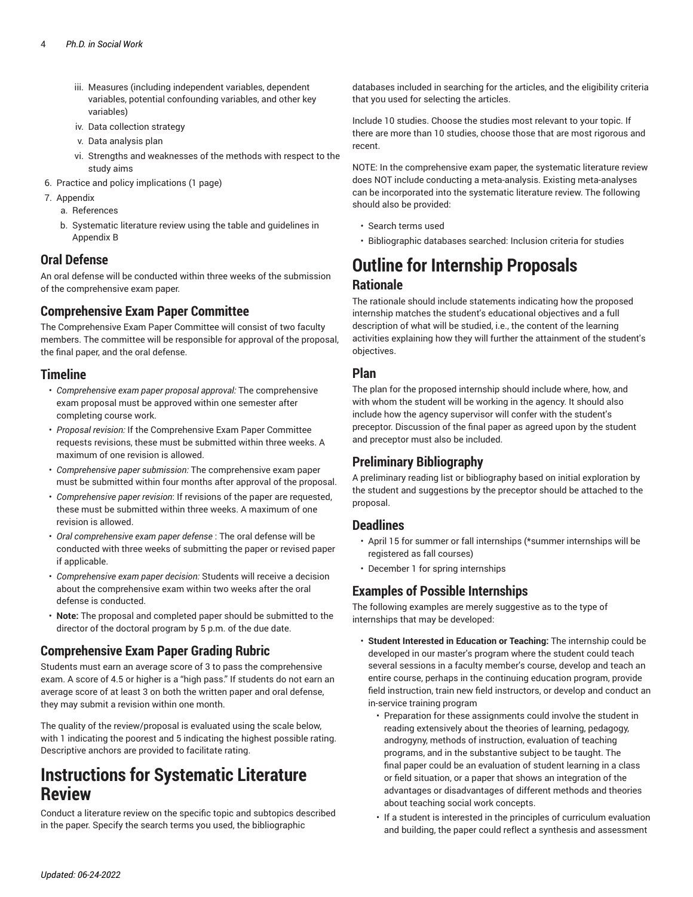- iii. Measures (including independent variables, dependent variables, potential confounding variables, and other key variables)
- iv. Data collection strategy
- v. Data analysis plan
- vi. Strengths and weaknesses of the methods with respect to the study aims
- 6. Practice and policy implications (1 page)
- 7. Appendix
	- a. References
	- b. Systematic literature review using the table and guidelines in Appendix B

#### **Oral Defense**

An oral defense will be conducted within three weeks of the submission of the comprehensive exam paper.

### **Comprehensive Exam Paper Committee**

The Comprehensive Exam Paper Committee will consist of two faculty members. The committee will be responsible for approval of the proposal, the final paper, and the oral defense.

#### **Timeline**

- *Comprehensive exam paper proposal approval:* The comprehensive exam proposal must be approved within one semester after completing course work.
- *Proposal revision:* If the Comprehensive Exam Paper Committee requests revisions, these must be submitted within three weeks. A maximum of one revision is allowed.
- *Comprehensive paper submission:* The comprehensive exam paper must be submitted within four months after approval of the proposal.
- *Comprehensive paper revision*: If revisions of the paper are requested, these must be submitted within three weeks. A maximum of one revision is allowed.
- *Oral comprehensive exam paper defense* : The oral defense will be conducted with three weeks of submitting the paper or revised paper if applicable.
- *Comprehensive exam paper decision:* Students will receive a decision about the comprehensive exam within two weeks after the oral defense is conducted.
- **Note:** The proposal and completed paper should be submitted to the director of the doctoral program by 5 p.m. of the due date.

### **Comprehensive Exam Paper Grading Rubric**

Students must earn an average score of 3 to pass the comprehensive exam. A score of 4.5 or higher is a "high pass." If students do not earn an average score of at least 3 on both the written paper and oral defense, they may submit a revision within one month.

The quality of the review/proposal is evaluated using the scale below, with 1 indicating the poorest and 5 indicating the highest possible rating. Descriptive anchors are provided to facilitate rating.

# **Instructions for Systematic Literature Review**

Conduct a literature review on the specific topic and subtopics described in the paper. Specify the search terms you used, the bibliographic

databases included in searching for the articles, and the eligibility criteria that you used for selecting the articles.

Include 10 studies. Choose the studies most relevant to your topic. If there are more than 10 studies, choose those that are most rigorous and recent.

NOTE: In the comprehensive exam paper, the systematic literature review does NOT include conducting a meta-analysis. Existing meta-analyses can be incorporated into the systematic literature review. The following should also be provided:

- Search terms used
- Bibliographic databases searched: Inclusion criteria for studies

# **Outline for Internship Proposals Rationale**

The rationale should include statements indicating how the proposed internship matches the student's educational objectives and a full description of what will be studied, i.e., the content of the learning activities explaining how they will further the attainment of the student's objectives.

#### **Plan**

The plan for the proposed internship should include where, how, and with whom the student will be working in the agency. It should also include how the agency supervisor will confer with the student's preceptor. Discussion of the final paper as agreed upon by the student and preceptor must also be included.

## **Preliminary Bibliography**

A preliminary reading list or bibliography based on initial exploration by the student and suggestions by the preceptor should be attached to the proposal.

#### **Deadlines**

- April 15 for summer or fall internships (\*summer internships will be registered as fall courses)
- December 1 for spring internships

## **Examples of Possible Internships**

The following examples are merely suggestive as to the type of internships that may be developed:

- **Student Interested in Education or Teaching:** The internship could be developed in our master's program where the student could teach several sessions in a faculty member's course, develop and teach an entire course, perhaps in the continuing education program, provide field instruction, train new field instructors, or develop and conduct an in-service training program
	- Preparation for these assignments could involve the student in reading extensively about the theories of learning, pedagogy, androgyny, methods of instruction, evaluation of teaching programs, and in the substantive subject to be taught. The final paper could be an evaluation of student learning in a class or field situation, or a paper that shows an integration of the advantages or disadvantages of different methods and theories about teaching social work concepts.
	- If a student is interested in the principles of curriculum evaluation and building, the paper could reflect a synthesis and assessment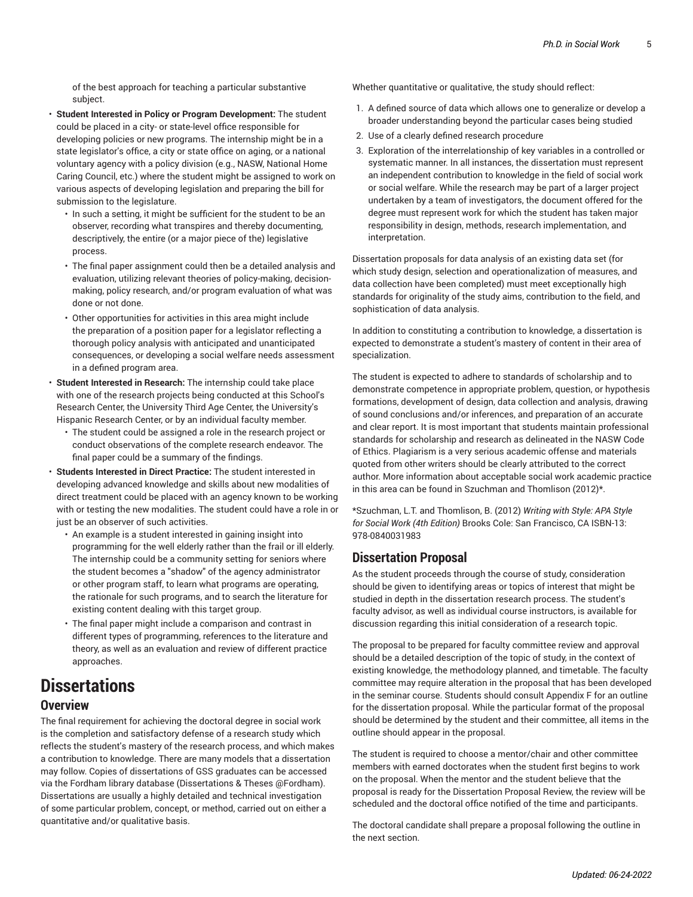of the best approach for teaching a particular substantive subject.

- **Student Interested in Policy or Program Development:** The student could be placed in a city- or state-level office responsible for developing policies or new programs. The internship might be in a state legislator's office, a city or state office on aging, or a national voluntary agency with a policy division (e.g., NASW, National Home Caring Council, etc.) where the student might be assigned to work on various aspects of developing legislation and preparing the bill for submission to the legislature.
	- In such a setting, it might be sufficient for the student to be an observer, recording what transpires and thereby documenting, descriptively, the entire (or a major piece of the) legislative process.
	- The final paper assignment could then be a detailed analysis and evaluation, utilizing relevant theories of policy-making, decisionmaking, policy research, and/or program evaluation of what was done or not done.
	- Other opportunities for activities in this area might include the preparation of a position paper for a legislator reflecting a thorough policy analysis with anticipated and unanticipated consequences, or developing a social welfare needs assessment in a defined program area.
- **Student Interested in Research:** The internship could take place with one of the research projects being conducted at this School's Research Center, the University Third Age Center, the University's Hispanic Research Center, or by an individual faculty member.
	- The student could be assigned a role in the research project or conduct observations of the complete research endeavor. The final paper could be a summary of the findings.
- **Students Interested in Direct Practice:** The student interested in developing advanced knowledge and skills about new modalities of direct treatment could be placed with an agency known to be working with or testing the new modalities. The student could have a role in or just be an observer of such activities.
	- An example is a student interested in gaining insight into programming for the well elderly rather than the frail or ill elderly. The internship could be a community setting for seniors where the student becomes a "shadow" of the agency administrator or other program staff, to learn what programs are operating, the rationale for such programs, and to search the literature for existing content dealing with this target group.
	- The final paper might include a comparison and contrast in different types of programming, references to the literature and theory, as well as an evaluation and review of different practice approaches.

# **Dissertations**

#### **Overview**

The final requirement for achieving the doctoral degree in social work is the completion and satisfactory defense of a research study which reflects the student's mastery of the research process, and which makes a contribution to knowledge. There are many models that a dissertation may follow. Copies of dissertations of GSS graduates can be accessed via the Fordham library database (Dissertations & Theses @Fordham). Dissertations are usually a highly detailed and technical investigation of some particular problem, concept, or method, carried out on either a quantitative and/or qualitative basis.

Whether quantitative or qualitative, the study should reflect:

- 1. A defined source of data which allows one to generalize or develop a broader understanding beyond the particular cases being studied
- 2. Use of a clearly defined research procedure
- 3. Exploration of the interrelationship of key variables in a controlled or systematic manner. In all instances, the dissertation must represent an independent contribution to knowledge in the field of social work or social welfare. While the research may be part of a larger project undertaken by a team of investigators, the document offered for the degree must represent work for which the student has taken major responsibility in design, methods, research implementation, and interpretation.

Dissertation proposals for data analysis of an existing data set (for which study design, selection and operationalization of measures, and data collection have been completed) must meet exceptionally high standards for originality of the study aims, contribution to the field, and sophistication of data analysis.

In addition to constituting a contribution to knowledge, a dissertation is expected to demonstrate a student's mastery of content in their area of specialization.

The student is expected to adhere to standards of scholarship and to demonstrate competence in appropriate problem, question, or hypothesis formations, development of design, data collection and analysis, drawing of sound conclusions and/or inferences, and preparation of an accurate and clear report. It is most important that students maintain professional standards for scholarship and research as delineated in the NASW Code of Ethics. Plagiarism is a very serious academic offense and materials quoted from other writers should be clearly attributed to the correct author. More information about acceptable social work academic practice in this area can be found in Szuchman and Thomlison (2012)\*.

\*Szuchman, L.T. and Thomlison, B. (2012) *Writing with Style: APA Style for Social Work (4th Edition)* Brooks Cole: San Francisco, CA ISBN-13: 978-0840031983

#### **Dissertation Proposal**

As the student proceeds through the course of study, consideration should be given to identifying areas or topics of interest that might be studied in depth in the dissertation research process. The student's faculty advisor, as well as individual course instructors, is available for discussion regarding this initial consideration of a research topic.

The proposal to be prepared for faculty committee review and approval should be a detailed description of the topic of study, in the context of existing knowledge, the methodology planned, and timetable. The faculty committee may require alteration in the proposal that has been developed in the seminar course. Students should consult Appendix F for an outline for the dissertation proposal. While the particular format of the proposal should be determined by the student and their committee, all items in the outline should appear in the proposal.

The student is required to choose a mentor/chair and other committee members with earned doctorates when the student first begins to work on the proposal. When the mentor and the student believe that the proposal is ready for the Dissertation Proposal Review, the review will be scheduled and the doctoral office notified of the time and participants.

The doctoral candidate shall prepare a proposal following the outline in the next section.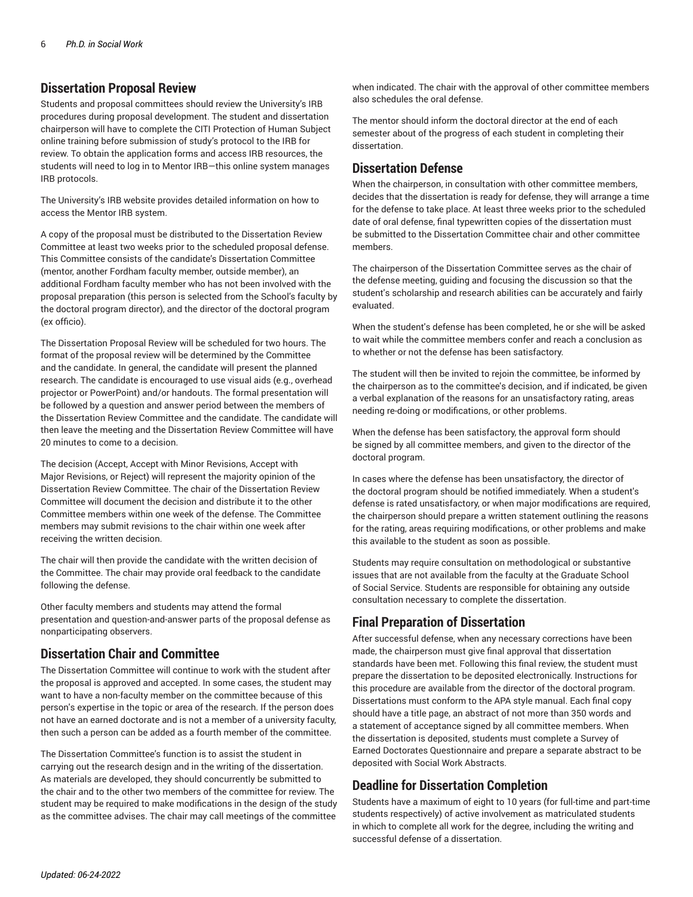#### **Dissertation Proposal Review**

Students and proposal committees should review the [University's](https://www.fordham.edu/info/24326/institutional_review_board/) IRB [procedures](https://www.fordham.edu/info/24326/institutional_review_board/) during proposal development. The student and dissertation chairperson will have to complete the CITI Protection of Human Subject online training before submission of study's protocol to the IRB for review. To obtain the application forms and access IRB resources, the students will need to log in to Mentor IRB—this online system manages IRB protocols.

The [University's](https://www.fordham.edu/info/24326/institutional_review_board/) IRB website provides detailed information on how to access the Mentor IRB system.

A copy of the proposal must be distributed to the Dissertation Review Committee at least two weeks prior to the scheduled proposal defense. This Committee consists of the candidate's Dissertation Committee (mentor, another Fordham faculty member, outside member), an additional Fordham faculty member who has not been involved with the proposal preparation (this person is selected from the School's faculty by the doctoral program director), and the director of the doctoral program (ex officio).

The Dissertation Proposal Review will be scheduled for two hours. The format of the proposal review will be determined by the Committee and the candidate. In general, the candidate will present the planned research. The candidate is encouraged to use visual aids (e.g., overhead projector or PowerPoint) and/or handouts. The formal presentation will be followed by a question and answer period between the members of the Dissertation Review Committee and the candidate. The candidate will then leave the meeting and the Dissertation Review Committee will have 20 minutes to come to a decision.

The decision (Accept, Accept with Minor Revisions, Accept with Major Revisions, or Reject) will represent the majority opinion of the Dissertation Review Committee. The chair of the Dissertation Review Committee will document the decision and distribute it to the other Committee members within one week of the defense. The Committee members may submit revisions to the chair within one week after receiving the written decision.

The chair will then provide the candidate with the written decision of the Committee. The chair may provide oral feedback to the candidate following the defense.

Other faculty members and students may attend the formal presentation and question-and-answer parts of the proposal defense as nonparticipating observers.

#### **Dissertation Chair and Committee**

The Dissertation Committee will continue to work with the student after the proposal is approved and accepted. In some cases, the student may want to have a non-faculty member on the committee because of this person's expertise in the topic or area of the research. If the person does not have an earned doctorate and is not a member of a university faculty, then such a person can be added as a fourth member of the committee.

The Dissertation Committee's function is to assist the student in carrying out the research design and in the writing of the dissertation. As materials are developed, they should concurrently be submitted to the chair and to the other two members of the committee for review. The student may be required to make modifications in the design of the study as the committee advises. The chair may call meetings of the committee

when indicated. The chair with the approval of other committee members also schedules the oral defense.

The mentor should inform the doctoral director at the end of each semester about of the progress of each student in completing their dissertation.

#### **Dissertation Defense**

When the chairperson, in consultation with other committee members, decides that the dissertation is ready for defense, they will arrange a time for the defense to take place. At least three weeks prior to the scheduled date of oral defense, final typewritten copies of the dissertation must be submitted to the Dissertation Committee chair and other committee members.

The chairperson of the Dissertation Committee serves as the chair of the defense meeting, guiding and focusing the discussion so that the student's scholarship and research abilities can be accurately and fairly evaluated.

When the student's defense has been completed, he or she will be asked to wait while the committee members confer and reach a conclusion as to whether or not the defense has been satisfactory.

The student will then be invited to rejoin the committee, be informed by the chairperson as to the committee's decision, and if indicated, be given a verbal explanation of the reasons for an unsatisfactory rating, areas needing re-doing or modifications, or other problems.

When the defense has been satisfactory, the approval form should be signed by all committee members, and given to the director of the doctoral program.

In cases where the defense has been unsatisfactory, the director of the doctoral program should be notified immediately. When a student's defense is rated unsatisfactory, or when major modifications are required, the chairperson should prepare a written statement outlining the reasons for the rating, areas requiring modifications, or other problems and make this available to the student as soon as possible.

Students may require consultation on methodological or substantive issues that are not available from the faculty at the Graduate School of Social Service. Students are responsible for obtaining any outside consultation necessary to complete the dissertation.

### **Final Preparation of Dissertation**

After successful defense, when any necessary corrections have been made, the chairperson must give final approval that dissertation standards have been met. Following this final review, the student must prepare the dissertation to be deposited electronically. Instructions for this procedure are available from the director of the doctoral program. Dissertations must conform to the APA style manual. Each final copy should have a title page, an abstract of not more than 350 words and a statement of acceptance signed by all committee members. When the dissertation is deposited, students must complete a Survey of Earned Doctorates Questionnaire and prepare a separate abstract to be deposited with Social Work Abstracts.

## **Deadline for Dissertation Completion**

Students have a maximum of eight to 10 years (for full-time and part-time students respectively) of active involvement as matriculated students in which to complete all work for the degree, including the writing and successful defense of a dissertation.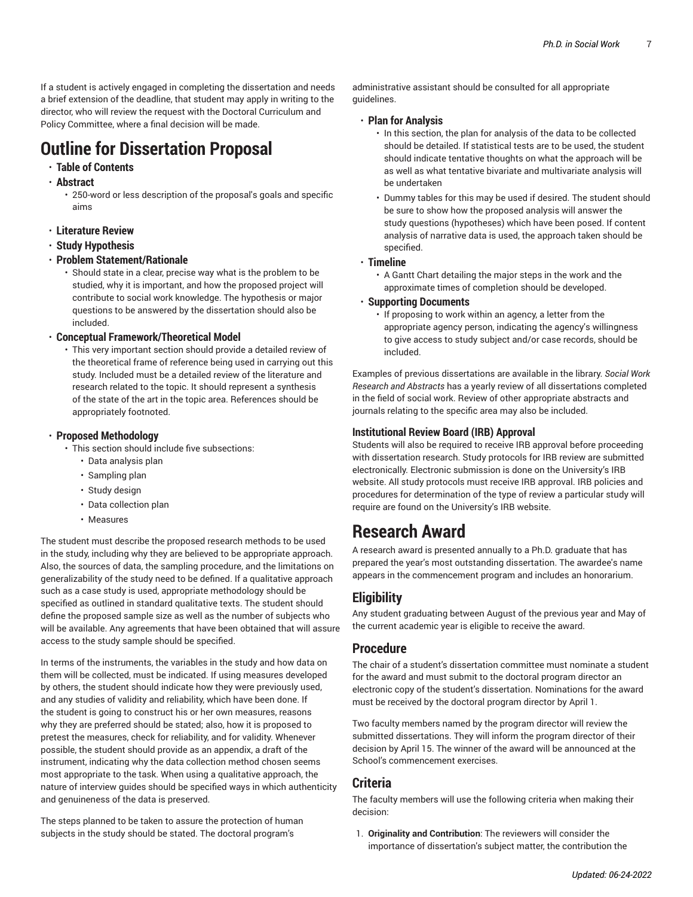If a student is actively engaged in completing the dissertation and needs a brief extension of the deadline, that student may apply in writing to the director, who will review the request with the Doctoral Curriculum and Policy Committee, where a final decision will be made.

# **Outline for Dissertation Proposal**

### • **Table of Contents**

• **Abstract**

• 250-word or less description of the proposal's goals and specific aims

- **Literature Review**
- **Study Hypothesis**
- **Problem Statement/Rationale**

• Should state in a clear, precise way what is the problem to be studied, why it is important, and how the proposed project will contribute to social work knowledge. The hypothesis or major questions to be answered by the dissertation should also be included.

#### • **Conceptual Framework/Theoretical Model**

• This very important section should provide a detailed review of the theoretical frame of reference being used in carrying out this study. Included must be a detailed review of the literature and research related to the topic. It should represent a synthesis of the state of the art in the topic area. References should be appropriately footnoted.

#### • **Proposed Methodology**

- This section should include five subsections:
	- Data analysis plan
	- Sampling plan
	- Study design
	- Data collection plan
	- Measures

The student must describe the proposed research methods to be used in the study, including why they are believed to be appropriate approach. Also, the sources of data, the sampling procedure, and the limitations on generalizability of the study need to be defined. If a qualitative approach such as a case study is used, appropriate methodology should be specified as outlined in standard qualitative texts. The student should define the proposed sample size as well as the number of subjects who will be available. Any agreements that have been obtained that will assure access to the study sample should be specified.

In terms of the instruments, the variables in the study and how data on them will be collected, must be indicated. If using measures developed by others, the student should indicate how they were previously used, and any studies of validity and reliability, which have been done. If the student is going to construct his or her own measures, reasons why they are preferred should be stated; also, how it is proposed to pretest the measures, check for reliability, and for validity. Whenever possible, the student should provide as an appendix, a draft of the instrument, indicating why the data collection method chosen seems most appropriate to the task. When using a qualitative approach, the nature of interview guides should be specified ways in which authenticity and genuineness of the data is preserved.

The steps planned to be taken to assure the protection of human subjects in the study should be stated. The doctoral program's

administrative assistant should be consulted for all appropriate guidelines.

#### • **Plan for Analysis**

- In this section, the plan for analysis of the data to be collected should be detailed. If statistical tests are to be used, the student should indicate tentative thoughts on what the approach will be as well as what tentative bivariate and multivariate analysis will be undertaken
- Dummy tables for this may be used if desired. The student should be sure to show how the proposed analysis will answer the study questions (hypotheses) which have been posed. If content analysis of narrative data is used, the approach taken should be specified.

#### • **Timeline**

• A Gantt Chart detailing the major steps in the work and the approximate times of completion should be developed.

#### • **Supporting Documents**

• If proposing to work within an agency, a letter from the appropriate agency person, indicating the agency's willingness to give access to study subject and/or case records, should be included.

Examples of previous dissertations are available in the library. *Social Work Research and Abstracts* has a yearly review of all dissertations completed in the field of social work. Review of other appropriate abstracts and journals relating to the specific area may also be included.

#### **Institutional Review Board (IRB) Approval**

Students will also be required to receive IRB approval before proceeding with dissertation research. Study protocols for IRB review are submitted electronically. Electronic submission is done on the University's IRB website. All study protocols must receive IRB approval. IRB policies and procedures for determination of the type of review a particular study will require are found on the [University's](https://www.fordham.edu/info/24326/institutional_review_board/) IRB website.

# **Research Award**

A research award is presented annually to a Ph.D. graduate that has prepared the year's most outstanding dissertation. The awardee's name appears in the commencement program and includes an honorarium.

## **Eligibility**

Any student graduating between August of the previous year and May of the current academic year is eligible to receive the award.

### **Procedure**

The chair of a student's dissertation committee must nominate a student for the award and must submit to the doctoral program director an electronic copy of the student's dissertation. Nominations for the award must be received by the doctoral program director by April 1.

Two faculty members named by the program director will review the submitted dissertations. They will inform the program director of their decision by April 15. The winner of the award will be announced at the School's commencement exercises.

### **Criteria**

The faculty members will use the following criteria when making their decision:

1. **Originality and Contribution**: The reviewers will consider the importance of dissertation's subject matter, the contribution the